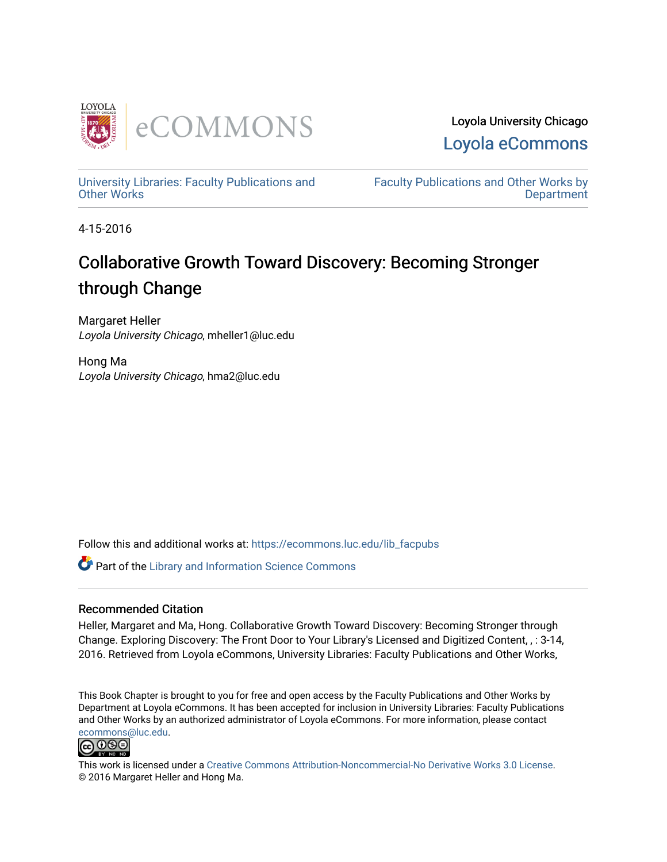

Loyola University Chicago [Loyola eCommons](https://ecommons.luc.edu/) 

[University Libraries: Faculty Publications and](https://ecommons.luc.edu/lib_facpubs) [Other Works](https://ecommons.luc.edu/lib_facpubs)

[Faculty Publications and Other Works by](https://ecommons.luc.edu/faculty)  **Department** 

4-15-2016

# Collaborative Growth Toward Discovery: Becoming Stronger through Change

Margaret Heller Loyola University Chicago, mheller1@luc.edu

Hong Ma Loyola University Chicago, hma2@luc.edu

Follow this and additional works at: [https://ecommons.luc.edu/lib\\_facpubs](https://ecommons.luc.edu/lib_facpubs?utm_source=ecommons.luc.edu%2Flib_facpubs%2F37&utm_medium=PDF&utm_campaign=PDFCoverPages)

Part of the [Library and Information Science Commons](http://network.bepress.com/hgg/discipline/1018?utm_source=ecommons.luc.edu%2Flib_facpubs%2F37&utm_medium=PDF&utm_campaign=PDFCoverPages) 

# Recommended Citation

Heller, Margaret and Ma, Hong. Collaborative Growth Toward Discovery: Becoming Stronger through Change. Exploring Discovery: The Front Door to Your Library's Licensed and Digitized Content, , : 3-14, 2016. Retrieved from Loyola eCommons, University Libraries: Faculty Publications and Other Works,

This Book Chapter is brought to you for free and open access by the Faculty Publications and Other Works by Department at Loyola eCommons. It has been accepted for inclusion in University Libraries: Faculty Publications and Other Works by an authorized administrator of Loyola eCommons. For more information, please contact [ecommons@luc.edu](mailto:ecommons@luc.edu).



This work is licensed under a [Creative Commons Attribution-Noncommercial-No Derivative Works 3.0 License.](https://creativecommons.org/licenses/by-nc-nd/3.0/) © 2016 Margaret Heller and Hong Ma.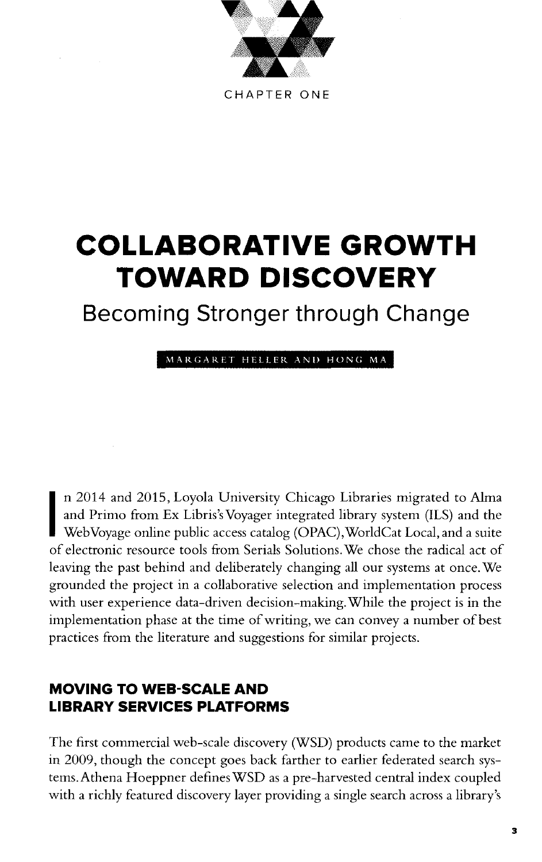

CHAPTER ONE

# **COLLABORATIVE GROWTH TOWARD DISCOVERY**

**Becoming Stronger through Change** 

MARGARET HELLER AND HONG MA

n 2014 and 2015, Loyola University Chicago Libraries migrated to Alma<br>and Primo from Ex Libris's Voyager integrated library system (ILS) and the<br>Web Voyage online public access catalog (OPAC), WorldCat Local, and a suite and Primo from Ex Libris's Voyager integrated library system (ILS) and the of electronic resource tools from Serials Solutions. We chose the radical act of leaving the past behind and deliberately changing all our systems at once. We grounded the project in a collaborative selection and implementation process with user experience data-driven decision-making. While the project is in the implementation phase at the time of writing, we can convey a number of best practices from the literature and suggestions for similar projects.

# **MOVING TO WEB-SCALE AND LIBRARY SERVICES PLATFORMS**

The first commercial web-scale discovery (WSD) products came to the market in 2009, though the concept goes back farther to earlier federated search systems.Athena Hoeppner defines WSD as a pre-harvested central index coupled with a richly featured discovery layer providing a single search across a library's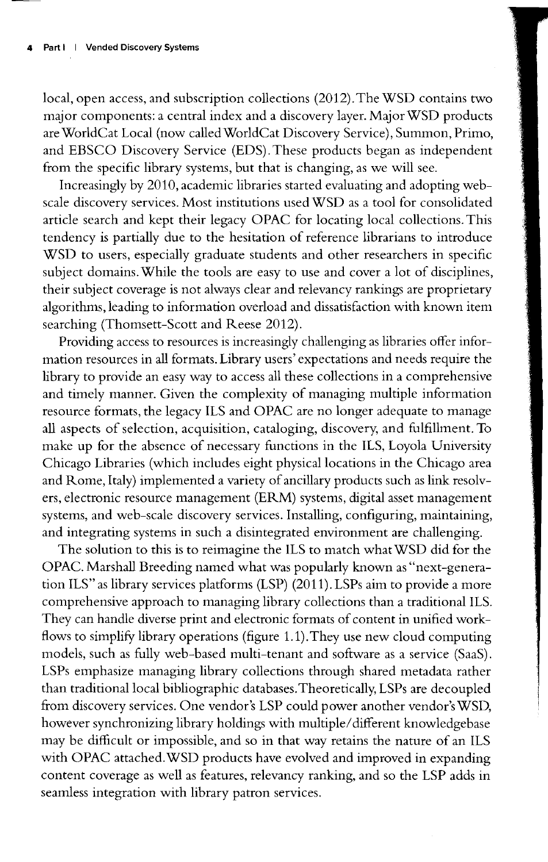local, open access, and subscription collections (2012). The WSD contains two major components: a central index and a discovery layer. Major WSD products are WorldCat Local (now calledWorldCat Discovery Service), Summon, Primo, and EBSCO Discovery Service (EDS). These products began as independent from the specific library systems, but that is changing, as we will see.

Increasingly by 2010, academic libraries started evaluating and adopting webscale discovery services. Most institutions used WSD as a tool for consolidated article search and kept their legacy OPAC for locating local collections. This tendency is partially due to the hesitation of reference librarians to introduce WSD to users, especially graduate students and other researchers in specific subject domains. While the tools are easy to use and cover a lot of disciplines, their subject coverage is not always clear and relevancy rankings are proprietary algorithms, leading to information overload and dissatisfaction with known item searching (Thomsett-Scott and Reese 2012).

Providing access to resources is increasingly challenging as libraries offer information resources in all formats. Library users' expectations and needs require the library to provide an easy way to access all these collections in a comprehensive and timely manner. Given the complexity of managing multiple information resource formats, the legacy ILS and OPAC are no longer adequate to manage all aspects of selection, acquisition, cataloging, discovery, and fulfillment. To make up for the absence of necessary functions in the ILS, Loyola University Chicago Libraries (which includes eight physical locations in the Chicago area and Rome, Italy) implemented a variety of ancillary products such as link resolvers, electronic resource management (ERM) systems, digital asset management systems, and web-scale discovery services. Installing, configuring, maintaining, and integrating systems in such a disintegrated environment are challenging.

The solution to this is to reimagine the ILS to match what WSD did for the OPAC. Marshall Breeding named what was popularly known as "next-generation ILS" as library services platforms (LSP) (2011). LSPs aim to provide a more comprehensive approach to managing library collections than a traditional ILS. They can handle diverse print and electronic formats of content in unified workflows to simplify library operations (figure 1.1). They use new cloud computing models, such as fully web-based multi-tenant and software as a service (SaaS). LSPs emphasize managing library collections through shared metadata rather than traditional local bibliographic databases. Theoretically, LSPs are decoupled from discovery services. One vendor's LSP could power another vendor's WSD, however synchronizing library holdings with multiple/different knowledgebase may be difficult or impossible, and so in that way retains the nature of an ILS with OPAC attached.WSD products have evolved and improved in expanding content coverage as well as features, relevancy ranking, and so the LSP adds in seamless integration with library patron services.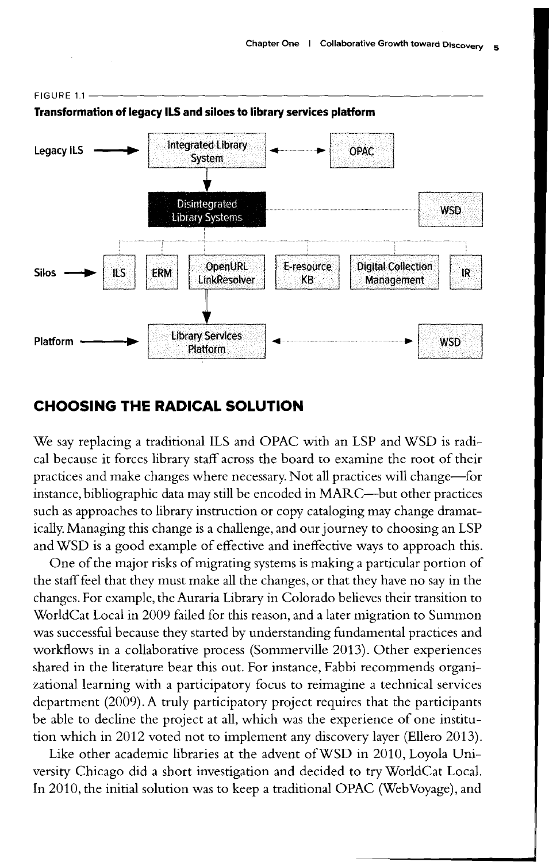

#### **CHOOSING THE RADICAL SOLUTION**

We say replacing a traditional ILS and OPAC with an LSP and WSD is radical because it forces library staff across the board to examine the root of their practices and make changes where necessary. Not all practices will change-for instance, bibliographic data may still be encoded in MARC-but other practices such as approaches to library instruction or copy cataloging may change dramatically. Managing this change is a challenge, and our journey to choosing an LSP and WSD is a good example of effective and ineffective ways to approach this.

One of the major risks of migrating systems is making a particular portion of the staff feel that they must make all the changes, or that they have no say in the changes. For example, the Auraria Library in Colorado believes their transition to WorldCat Local in 2009 failed for this reason, and a later migration to Summon was successful because they started by understanding fundamental practices and workflows in a collaborative process (Sommerville 2013). Other experiences shared in the literature bear this out. For instance, Fabbi recommends organizational learning with a participatory focus to reimagine a technical services department (2009). A truly participatory project requires that the participants be able to decline the project at all, which was the experience of one institution which in 2012 voted not to implement any discovery layer (Ellero 2013).

Like other academic libraries at the advent ofWSD in 2010, Loyola University Chicago did a short investigation and decided to try WorldCat Local. In 2010, the initial solution was to keep a traditional OPAC (Web Voyage), and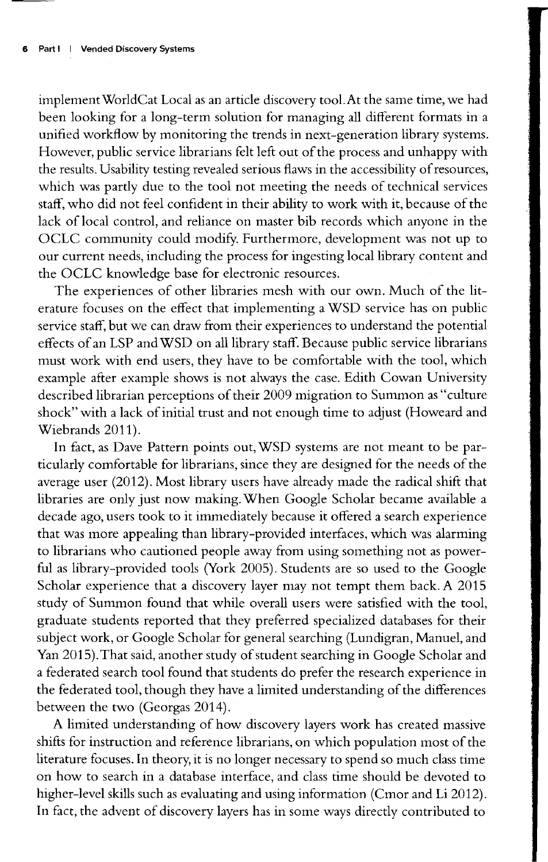implement WorldCat Local as an article discovery tool. At the same time, we had been looking for a long-term solution for managing all different formats in a unified workflow by monitoring the trends in next-generation library systems. However, public service librarians felt left out of the process and unhappy with the results. Usability testing revealed serious flaws in the accessibility of resources, which was partly due to the tool not meeting the needs of technical services staff, who did not feel confident in their ability to work with it, because of the lack of local control, and reliance on master bib records which anyone in the OCLC community could modify. Furthermore, development was not up to our current needs, including the process for ingesting local library content and the OCLC knowledge base for electronic resources.

The experiences of other libraries mesh with our own. Much of the literature focuses on the effect that implementing a WSD service has on public service staff, but we can draw from their experiences to understand the potential effects of an LSP and WSD on all library staff. Because public service librarians must work with end users, they have to be comfortable with the tool, which example after example shows is not always the case. Edith Cowan University described librarian perceptions of their 2009 migration to Summon as" culture shock" with a lack of initial trust and not enough time to adjust (Howeard and Wiebrands 2011).

In fact, as Dave Pattern points out, WSD systems are not meant to be particularly comfortable for librarians, since they are designed for the needs of the average user (2012). Most library users have already made the radical shift that libraries are only just now making. When Google Scholar became available a decade ago, users took to it immediately because it offered a search experience that was more appealing than library-provided interfaces, which was alarming to librarians who cautioned people away from using something not as powerful as library-provided tools (York 2005). Students are so used to the Google Scholar experience that a discovery layer may not tempt them back. A 2015 study of Summon found that while overall users were satisfied with the tool, graduate students reported that they preferred specialized databases for their subject work, or Google Scholar for general searching (Lundigran, Manuel, and Yan 2015). That said, another study of student searching in Google Scholar and a federated search tool found that students do prefer the research experience in the federated tool, though they have a limited understanding of the differences between the two (Georgas 2014).

A limited understanding of how discovery layers work has created massive shifts for instruction and reference librarians, on which population most of the literature focuses. In theory, it is no longer necessary to spend so much class time on how to search in a database interface, and class time should be devoted to higher-level skills such as evaluating and using information (Cmor and Li 2012). In fact, the advent of discovery layers has in some ways directly contributed to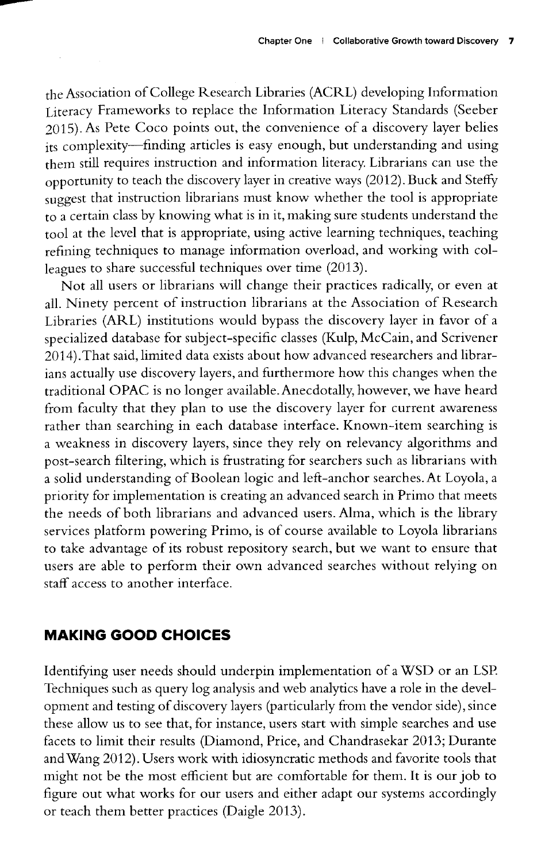the Association of College Research Libraries (ACRL) developing Information Literacy Frameworks to replace the Information Literacy Standards (Seeber 2015). As Pete Coco points out, the convenience of a discovery layer belies its complexity-finding articles is easy enough, but understanding and using them still requires instruction and information literacy. Librarians can use the opportunity to teach the discovery layer in creative ways (2012). Buck and Steffy suggest that instruction librarians must know whether the tool is appropriate to a certain class by knowing what is in it, making sure students understand the tool at the level that is appropriate, using active learning techniques, teaching refining techniques to manage information overload, and working with colleagues to share successful techniques over time (2013).

Not all users or librarians will change their practices radically, or even at all. Ninety percent of instruction librarians at the Association of Research Libraries (ARL) institutions would bypass the discovery layer in favor of a specialized database for subject-specific classes (Kulp, McCain, and Scrivener 2014). That said, limited data exists about how advanced researchers and librarians actually use discovery layers, and furthermore how this changes when the traditional OPAC is no longer available. Anecdotally, however, we have heard from faculty that they plan to use the discovery layer for current awareness rather than searching in each database interface. Known-item searching is a weakness in discovery layers, since they rely on relevancy algorithms and post-search filtering, which is frustrating for searchers such as librarians with a solid understanding of Boolean logic and left-anchor searches. At Loyola, a priority for implementation is creating an advanced search in Primo that meets the needs of both librarians and advanced users. Alma, which is the library services platform powering Primo, is of course available to Loyola librarians to take advantage of its robust repository search, but we want to ensure that users are able to perform their own advanced searches without relying on staff access to another interface.

#### **MAKING GOOD CHOICES**

--

Identifying user needs should underpin implementation of a WSD or an LSP. Techniques such as query log analysis and web analytics have a role in the development and testing of discovery layers (particularly from the vendor side), since these allow us to see that, for instance, users start with simple searches and use facets to limit their results (Diamond, Price, and Chandrasekar 2013; Durante and Wang 2012). Users work with idiosyncratic methods and favorite tools that might not be the most efficient but are comfortable for them. It is our job to figure out what works for our users and either adapt our systems accordingly or teach them better practices (Daigle 2013).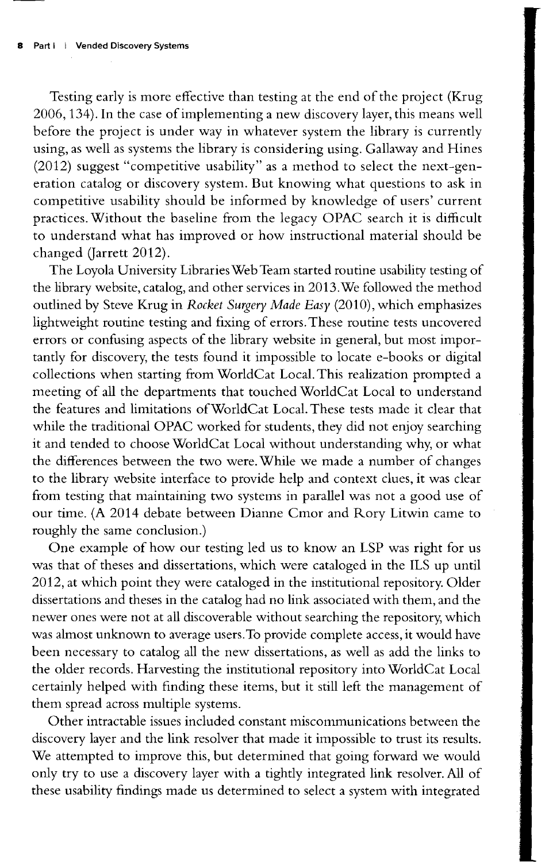Testing early is more effective than testing at the end of the project (Krug 2006, 134). In the case of implementing a new discovery layer, this means well before the project is under way in whatever system the library is currently using, as well as systems the library is considering using. Gallaway and Hines (2012) suggest "competitive usability" as a method to select the next-generation catalog or discovery system. But knowing what questions to ask in competitive usability should be informed by knowledge of users' current practices. Without the baseline from the legacy OPAC search it is difficult to understand what has improved or how instructional material should be changed (Jarrett 2012).

The Loyola University Libraries Web Team started routine usability testing of the library website, catalog, and other services in 2013.We followed the method outlined by Steve Krug in *Rocket Surgery Made Easy* (2010), which emphasizes lightweight routine testing and fixing of errors. These routine tests uncovered errors or confusing aspects of the library website in general, but most importantly for discovery, the tests found it impossible to locate e-books or digital collections when starting from WorldCat Local. This realization prompted a meeting of all the departments that touched WorldCat Local to understand the features and limitations ofWorldCat Local. These tests made it clear that while the traditional OPAC worked for students, they did not enjoy searching it and tended to choose WorldCat Local without understanding why, or what the differences between the two were. While we made a number of changes to the library website interface to provide help and context clues, it was clear from testing that maintaining two systems in parallel was not a good use of our time. (A 2014 debate between Dianne Cmor and Rory Litwin came to roughly the same conclusion.)

One example of how our testing led us to know an LSP was right for us was that of theses and dissertations, which were cataloged in the ILS up until 2012, at which point they were cataloged in the institutional repository. Older dissertations and theses in the catalog had no link associated with them, and the newer ones were not at all discoverable without searching the repository, which was almost unknown to average users. To provide complete access, it would have been necessary to catalog all the new dissertations, as well as add the links to the older records. Harvesting the institutional repository into WorldCat Local certainly helped with finding these items, but it still left the management of them spread across multiple systems.

Other intractable issues included constant miscommunications between the discovery layer and the link resolver that made it impossible to trust its results. We attempted to improve this, but determined that going forward we would only try to use a discovery layer with a tightly integrated link resolver. All of these usability findings made us determined to select a system with integrated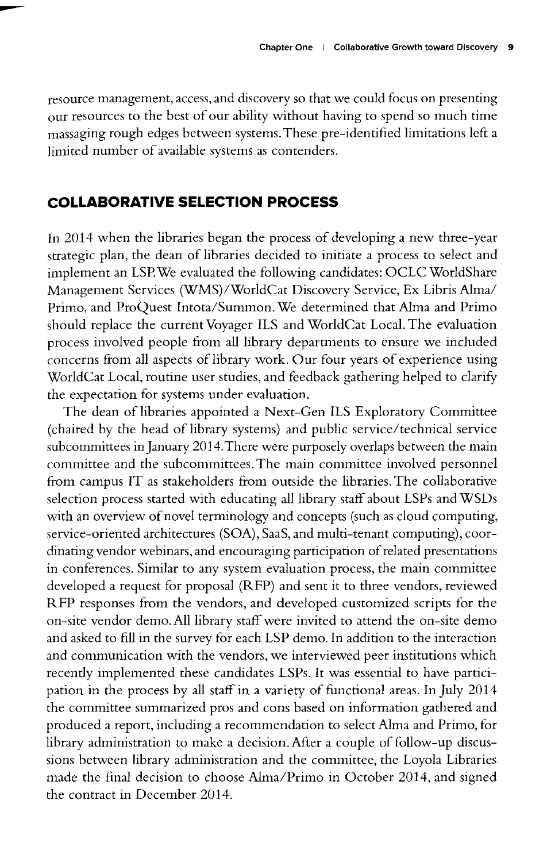resource management, access, and discovery so that we could focus on presenting our resources to the best of our ability without having to spend so much time massaging rough edges between systems. These pre-identified limitations left a limited number of available systems as contenders.

#### **COLLABORATIVE SELECTION PROCESS**

--

In 2014 when the libraries began the process of developing a new three-year strategic plan, the dean of libraries decided to initiate a process to select and implement an LSP. We evaluated the following candidates: OCLC WorldShare Management Services (WMS)/WorldCat Discovery Service, Ex Libris Alma/ Primo, and ProQuest Intota/Summon. We determined that Alma and Primo should replace the current Voyager ILS and WorldCat Local. The evaluation process involved people from all library departments to ensure we included concerns from all aspects of library work. Our four years of experience using WorldCat Local, routine user studies, and feedback gathering helped to clarify the expectation for systems under evaluation.

The dean of libraries appointed a Next-Gen ILS Exploratory Committee (chaired by the head of library systems) and public service/technical service subcommittees in January 2014. There were purposely overlaps between the main committee and the subcommittees. The main committee involved personnel from campus IT as stakeholders from outside the libraries. The collaborative selection process started with educating all library staff about LSPs and WSDs with an overview of novel terminology and concepts (such as cloud computing, service-oriented architectures (SOA), SaaS, and multi-tenant computing), coordinating vendor webinars, and encouraging participation of related presentations in conferences. Similar to any system evaluation process, the main committee developed a request for proposal (RFP) and sent it to three vendors, reviewed RFP responses from the vendors, and developed customized scripts for the on-site vendor demo. All library staff were invited to attend the on-site demo and asked to fill in the survey for each LSP demo. In addition to the interaction and communication with the vendors, we interviewed peer institutions which recently implemented these candidates LSPs. It was essential to have participation in the process by all staff in a variety of functional areas. In July 2014 the committee summarized pros and cons based on information gathered and produced a report, including a recommendation to select Alma and Primo, for library administration to make a decision. After a couple of follow-up discussions between library administration and the committee, the Loyola Libraries made the final decision to choose Alma/Primo in October 2014, and signed the contract in December 2014.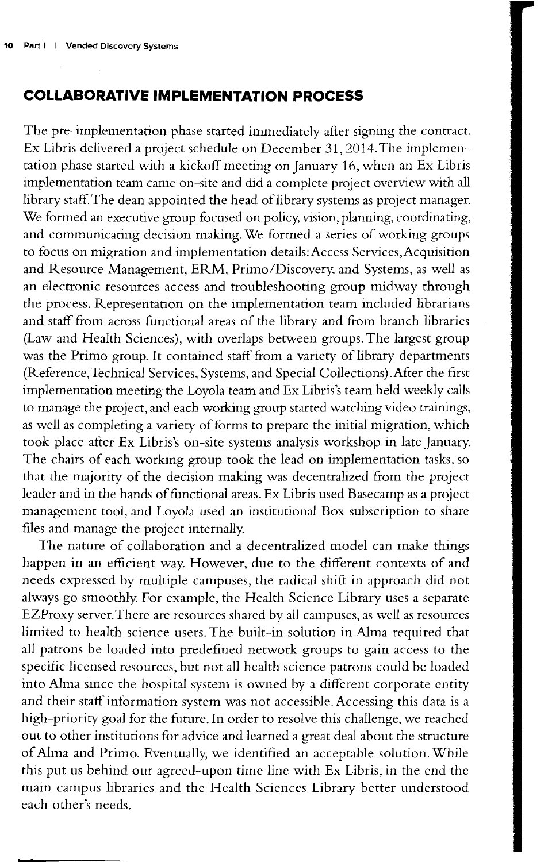## **COLLABORATIVE IMPLEMENTATION PROCESS**

The pre-implementation phase started immediately after signing the contract. Ex Libris delivered a project schedule on December 31, 2014. The implementation phase started with a kickoff meeting on January 16, when an Ex Libris implementation team came on-site and did a complete project overview with all library staff. The dean appointed the head of library systems as project manager. We formed an executive group focused on policy, vision, planning, coordinating, and communicating decision making. We formed a series of working groups to focus on migration and implementation details: Access Services,Acquisition and Resource Management, ERM, Prima/Discovery, and Systems, as well as an electronic resources access and troubleshooting group midway through the process. Representation on the implementation team included librarians and staff from across functional areas of the library and from branch libraries (Law and Health Sciences), with overlaps between groups. The largest group was the Primo group. It contained staff from a variety of library departments (Reference, Technical Services, Systems, and Special Collections).After the first implementation meeting the Loyola team and Ex Libris's team held weekly calls to manage the project, and each working group started watching video trainings, as well as completing a variety of forms to prepare the initial migration, which took place after Ex Libris's on-site systems analysis workshop in late January. The chairs of each working group took the lead on implementation tasks, so that the majority of the decision making was decentralized from the project leader and in the hands of functional areas. Ex Libris used Basecamp as a project management tool, and Loyola used an institutional Box subscription to share files and manage the project internally.

The nature of collaboration and a decentralized model can make things happen in an efficient way. However, due to the different contexts of and needs expressed by multiple campuses, the radical shift in approach did not always go smoothly. For example, the Health Science Library uses a separate EZProxy server. There are resources shared by all campuses, as well as resources limited to health science users. The built-in solution in Alma required that all patrons be loaded into predefined network groups to gain access to the specific licensed resources, but not all health science patrons could be loaded into Alma since the hospital system is owned by a different corporate entity and their staff information system was not accessible. Accessing this data is a high-priority goal for the future. In order to resolve this challenge, we reached out to other institutions for advice and learned a great deal about the structure of Alma and Primo. Eventually, we identified an acceptable solution. While this put us behind our agreed-upon time line with Ex Libris, in the end the main campus libraries and the Health Sciences Library better understood each other's needs.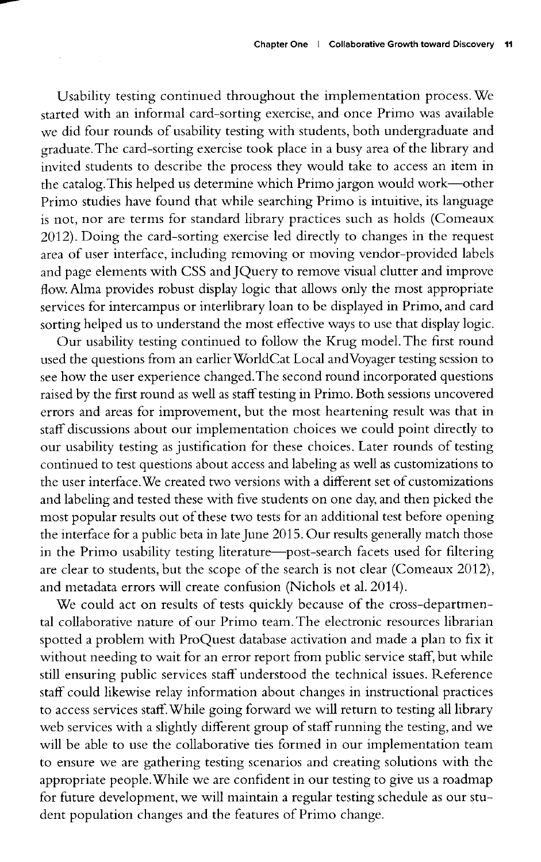Usability testing continued throughout the implementation process. We started with an informal card-sorting exercise, and once Primo was available we did four rounds of usability testing with students, both undergraduate and graduate. The card-sorting exercise took place in a busy area of the library and invited students to describe the process they would take to access an item in the catalog. This helped us determine which Primo jargon would work-other Primo studies have found that while searching Primo is intuitive, its language is not, nor are terms for standard library practices such as holds (Comeaux 2012). Doing the card-sorting exercise led directly to changes in the request area of user interface, including removing or moving vendor-provided labels and page elements with CSS and JQuery to remove visual clutter and improve flow. Alma provides robust display logic that allows only the most appropriate services for intercampus or interlibrary loan to be displayed in Primo, and card sorting helped us to understand the most effective ways to use that display logic.

--

Our usability testing continued to follow the Krug model. The first round used the questions from an earlier World Cat Local and Voyager testing session to see how the user experience changed. The second round incorporated questions raised by the first round as well as staff testing in Primo. Both sessions uncovered errors and areas for improvement, but the most heartening result was that in staff discussions about our implementation choices we could point directly to our usability testing as justification for these choices. Later rounds of testing continued to test questions about access and labeling as well as customizations to the user interface. We created two versions with a different set of custornizations and labeling and tested these with five students on one day, and then picked the most popular results out of these two tests for an additional test before opening the interface for a public beta in late June 2015. Our results generally match those in the Primo usability testing literature-post-search facets used for filtering are clear to students, but the scope of the search is not clear (Comeaux 2012), and metadata errors will create confusion (Nichols et al. 2014).

We could act on results of tests quickly because of the cross-departmental collaborative nature of our Primo team. The electronic resources librarian spotted a problem with ProQuest database activation and made a plan to fix it without needing to wait for an error report from public service staff, but while still ensuring public services staff understood the technical issues. Reference staff could likewise relay information about changes in instructional practices to access services staff. While going forward we will return to testing all library web services with a slightly different group of staff running the testing, and we will be able to use the collaborative ties formed in our implementation team to ensure we are gathering testing scenarios and creating solutions with the appropriate people. While we are confident in our testing to give us a roadmap for future development, we will maintain a regular testing schedule as our student population changes and the features of Primo change.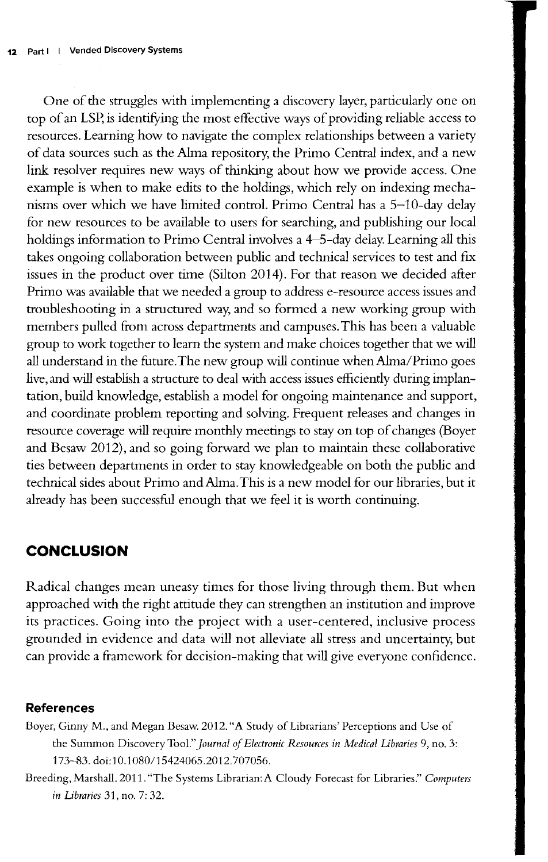One of the struggles with implementing a discovery layer, particularly one on top of an LSP, is identifYing the most effective ways of providing reliable access to resources. Learning how to navigate the complex relationships between a variety of data sources such as the Alma repository, the Primo Central index, and a new link resolver requires new ways of thinking about how we provide access. One example is when to make edits to the holdings, which rely on indexing mechanisms over which we have limited control. Primo Central has a 5-10-day delay for new resources to be available to users for searching, and publishing our local holdings information to Primo Central involves a 4-5-day delay. Learning all this takes ongoing collaboration between public and technical services to test and fix issues in the product over time (Silton 2014). For that reason we decided after Primo was available that we needed a group to address e-resource access issues and troubleshooting in a structured way, and so formed a new working group with members pulled from across departments and campuses. This has been a valuable group to work together to learn the system and make choices together that we will all understand in the future. The new group will continue when Alma/Primo goes live, and will establish a structure to deal with access issues efficiently during implantation, build knowledge, establish a model for ongoing maintenance and support, and coordinate problem reporting and solving. Frequent releases and changes in resource coverage will require monthly meetings to stay on top of changes (Boyer and Besaw 2012), and so going forward we plan to maintain these collaborative ties between departments in order to stay knowledgeable on both the public and technical sides about Primo and Alma. This is a new model for our libraries, but it already has been successful enough that we feel it is worth continuing.

### **CONCLUSION**

Radical changes mean uneasy times for those living through them. But when approached with the right attitude they can strengthen an institution and improve its practices. Going into the project with a user-centered, inclusive process grounded in evidence and data will not alleviate all stress and uncertainty, but can provide a framework for decision-making that will give everyone confidence.

#### **References**

- Boyer, Ginny M., and Megan Besaw. 2012. "A Study of Librarians' Perceptions and Use of the Summon Discovery Tool." *Journal* of *Electronic Resources in Medical Libraries* 9, no. 3: 173-83. doi:10.1080/15424065.2012.707056.
- Breeding, Marshall. 2011. "The Systems Librarian: A Cloudy Forecast for Libraries." *Computers in Libraries* 31, no. 7: 32.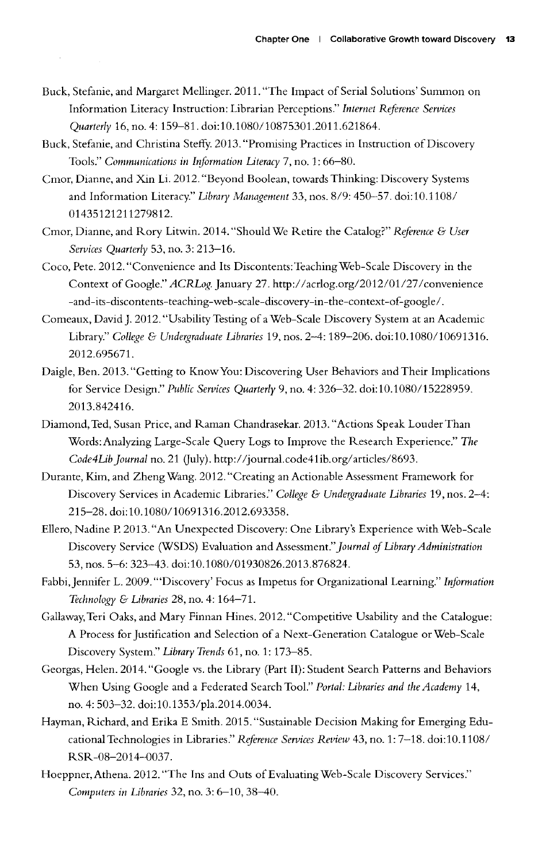- Buck, Stefanie, and Margaret Mellinger. 2011. "The Impact of Serial Solutions' Summon on Information Literacy Instruction: Librarian Perceptions." *Internet Reference Services Quarterly* 16, no. 4: 159-81. doi:10.1080/10875301.2011.621864.
- Buck, Stefanie, and Christina Steffy. 2013. "Promising Practices in Instruction of Discovery Tools." *Communications in Information Literacy* 7, no. 1: 66-80.
- Cmor, Dianne, and Xin Li. 2012. "Beyond Boolean, towards Thinking: Discovery Systems and Information Literacy." *Library Management* 33, nos. 8/9: 450-57. doi:10.1108/ 01435121211279812.
- Cmor, Dianne, and Rory Litwin. 2014. "Should We Retire the Catalog?" *Reference* & *User Services Quarterly* 53, no. 3: 213-16.
- Coco, Pete. 2012. "Convenience and Its Discontents: Teaching Web-Scale Discovery in the Context of Google." *ACRLog.* January 27. http:/ /acrlog.org/2012/01/27 *I* convenience -and-its-discontents-teaching-web-scale-discovery-in-the-context-of-google/.
- Comeaux, David J. 2012. "Usability Testing of a Web-Scale Discovery System at an Academic Library." *College* & *Undergraduate Libraries* 19, nos. 2-4: 189-206. doi: 10.1080/10691316. 2012.695671.
- Daigle, Ben. 2013. "Getting to Know You: Discovering User Behaviors and Their Implications for Service Design." *Public Services Quarterly* 9, no. 4: 326-32. doi: 10.1080/15228959. 2013.842416.
- Diamond, Ted, Susan Price, and Raman Chandrasekar. 2013. "Actions Speak Louder Than Words: Analyzing Large-Scale Query Logs to Improve the Research Experience." *The Code4Lib Journal* no. 21 (July). http:/ /journal.code41ib.org/articles/8693.
- Durante, Kim, and Zheng Wang. 2012. "Creating an Actionable Assessment Framework for Discovery Services in Academic Libraries." *College* & *Undergraduate Libraries* 19, nos. 2-4: 215-28. doi: 10.1080/10691316.2012.693358.
- Ellero, Nadine P. 2013. "An Unexpected Discovery: One Library's Experience with Web-Scale Discovery Service (WSDS) Evaluation and Assessment." *Journal of Library Administration*  53, nos. 5-6: 323-43. doi:10.1080/01930826.2013.876824.
- Fabbi,Jennifer L. 2009. '"Discovery' Focus as Impetus for Organizational Learning." *Information Technology* & *Libraries* 28, no. 4: 164-71.
- Gallaway, Teri Oaks, and Mary Finnan Hines. 2012. "Competitive Usability and the Catalogue: A Process for Justification and Selection of a Next-Generation Catalogue or Web-Scale Discovery System." *Library Trends* 61, no. 1: 173-85.
- Georgas, Helen. 2014. "Google vs. the Library (Part II): Student Search Patterns and Behaviors When Using Google and a Federated Search Tool." *Portal: Libraries and the Academy* 14, no. 4:503-32. doi:10.1353/pla.2014.0034.
- Hayman, Richard, and Erika E Smith. 2015. "Sustainable Decision Making for Emerging Educational Technologies in Libraries." *Reference Services Review* 43, no. 1: 7-18. doi: 10.1108/ RSR-08-2014-0037.
- Hoeppner, Athena. 2012. "The Ins and Outs of Evaluating Web-Scale Discovery Services." *Computers in Libraries* 32, no. 3: 6-10, 38-40.